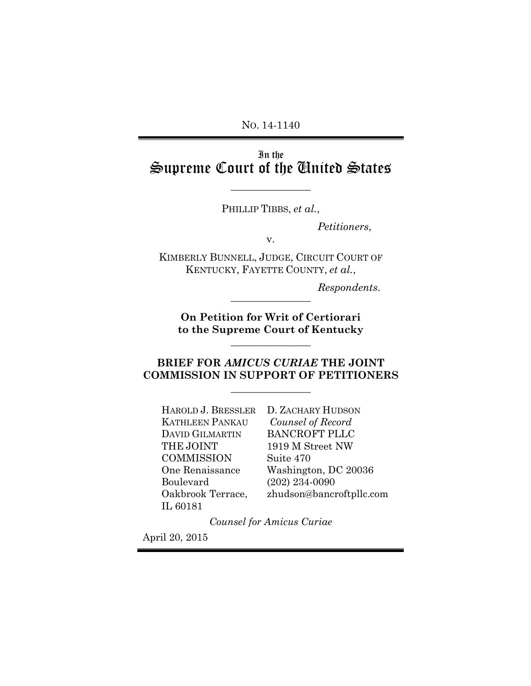NO. 14-1140

# In the Supreme Court of the United States

 $\overline{\phantom{a}}$  , where  $\overline{\phantom{a}}$ 

PHILLIP TIBBS, *et al.*,

*Petitioners*,

v.

KIMBERLY BUNNELL, JUDGE, CIRCUIT COURT OF KENTUCKY, FAYETTE COUNTY, *et al.*,

*Respondents*.

**On Petition for Writ of Certiorari to the Supreme Court of Kentucky**

 $\mathcal{L}=\mathcal{L}^{\mathcal{L}}$ 

 $\overline{\phantom{a}}$  , where  $\overline{\phantom{a}}$ 

### **BRIEF FOR** *AMICUS CURIAE* **THE JOINT COMMISSION IN SUPPORT OF PETITIONERS**

 $\mathcal{L}=\mathcal{L}$ 

HAROLD J. BRESSLER D. ZACHARY HUDSON KATHLEEN PANKAU DAVID GILMARTIN THE JOINT **COMMISSION** One Renaissance Boulevard Oakbrook Terrace, IL 60181

*Counsel of Record* BANCROFT PLLC 1919 M Street NW Suite 470 Washington, DC 20036 (202) 234-0090 [zhudson@bancroftpllc.com](mailto:zhudson@bancroftpllc.com)

*Counsel for Amicus Curiae*

April 20, 2015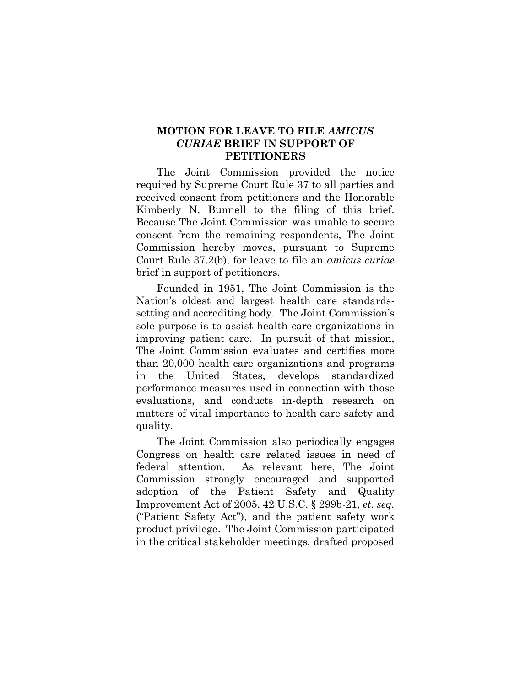### **MOTION FOR LEAVE TO FILE** *AMICUS CURIAE* **BRIEF IN SUPPORT OF PETITIONERS**

The Joint Commission provided the notice required by Supreme Court Rule 37 to all parties and received consent from petitioners and the Honorable Kimberly N. Bunnell to the filing of this brief. Because The Joint Commission was unable to secure consent from the remaining respondents, The Joint Commission hereby moves, pursuant to Supreme Court Rule 37.2(b), for leave to file an *amicus curiae*  brief in support of petitioners.

Founded in 1951, The Joint Commission is the Nation's oldest and largest health care standardssetting and accrediting body. The Joint Commission's sole purpose is to assist health care organizations in improving patient care. In pursuit of that mission, The Joint Commission evaluates and certifies more than 20,000 health care organizations and programs in the United States, develops standardized performance measures used in connection with those evaluations, and conducts in-depth research on matters of vital importance to health care safety and quality.

The Joint Commission also periodically engages Congress on health care related issues in need of federal attention. As relevant here, The Joint Commission strongly encouraged and supported adoption of the Patient Safety and Quality Improvement Act of 2005, 42 U.S.C. § 299b-21, *et. seq.* ("Patient Safety Act"), and the patient safety work product privilege. The Joint Commission participated in the critical stakeholder meetings, drafted proposed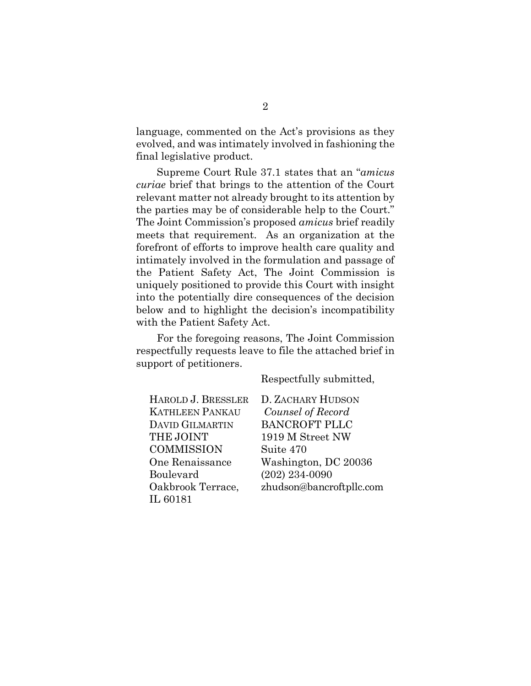language, commented on the Act's provisions as they evolved, and was intimately involved in fashioning the final legislative product.

Supreme Court Rule 37.1 states that an "*amicus curiae* brief that brings to the attention of the Court relevant matter not already brought to its attention by the parties may be of considerable help to the Court." The Joint Commission's proposed *amicus* brief readily meets that requirement. As an organization at the forefront of efforts to improve health care quality and intimately involved in the formulation and passage of the Patient Safety Act, The Joint Commission is uniquely positioned to provide this Court with insight into the potentially dire consequences of the decision below and to highlight the decision's incompatibility with the Patient Safety Act.

For the foregoing reasons, The Joint Commission respectfully requests leave to file the attached brief in support of petitioners.

Respectfully submitted,

| HAROLD J. BRESSLER     | D. ZACHARY HUDSON        |
|------------------------|--------------------------|
| <b>KATHLEEN PANKAU</b> | Counsel of Record        |
| <b>DAVID GILMARTIN</b> | <b>BANCROFT PLLC</b>     |
| THE JOINT              | 1919 M Street NW         |
| <b>COMMISSION</b>      | Suite 470                |
| One Renaissance        | Washington, DC 20036     |
| Boulevard              | $(202)$ 234-0090         |
| Oakbrook Terrace,      | zhudson@bancroftpllc.com |
| IL 60181               |                          |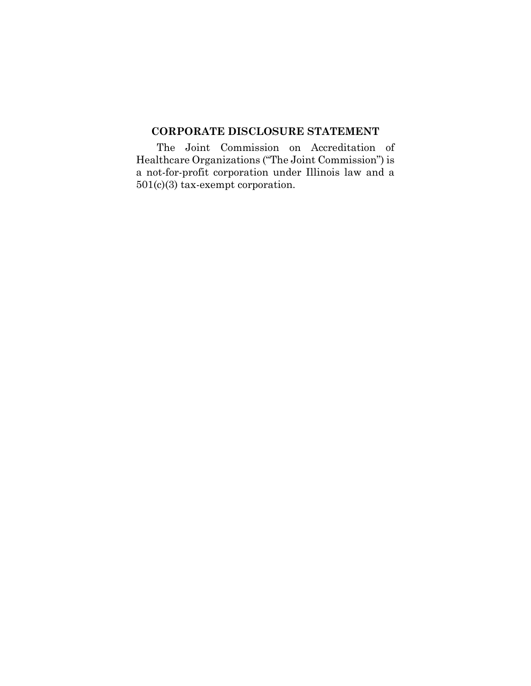### **CORPORATE DISCLOSURE STATEMENT**

The Joint Commission on Accreditation of Healthcare Organizations ("The Joint Commission") is a not-for-profit corporation under Illinois law and a 501(c)(3) tax-exempt corporation.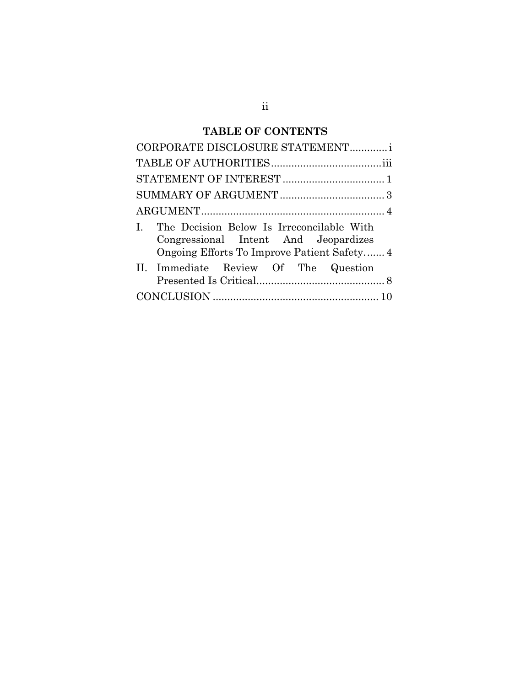# **TABLE OF CONTENTS**

| CORPORATE DISCLOSURE STATEMENTi                                                                                                     |
|-------------------------------------------------------------------------------------------------------------------------------------|
|                                                                                                                                     |
|                                                                                                                                     |
|                                                                                                                                     |
|                                                                                                                                     |
| I. The Decision Below Is Irreconcilable With<br>Congressional Intent And Jeopardizes<br>Ongoing Efforts To Improve Patient Safety 4 |
| II. Immediate Review Of The Question                                                                                                |
|                                                                                                                                     |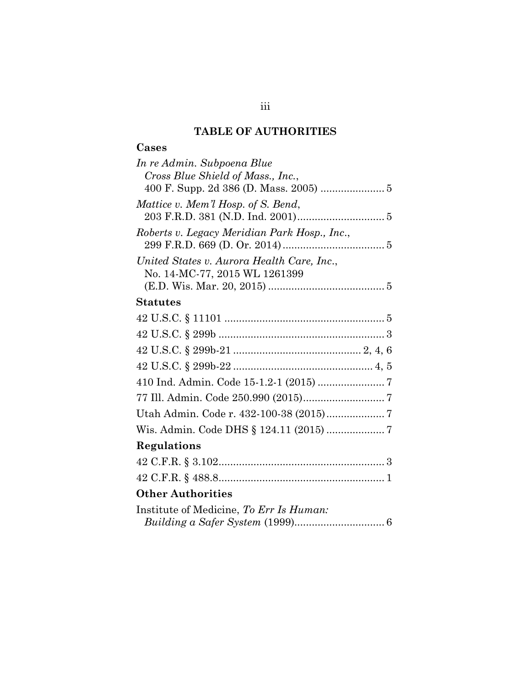## **TABLE OF AUTHORITIES**

## **Cases**

| In re Admin. Subpoena Blue                   |
|----------------------------------------------|
| Cross Blue Shield of Mass., Inc.,            |
|                                              |
| Mattice v. Mem'l Hosp. of S. Bend,           |
|                                              |
| Roberts v. Legacy Meridian Park Hosp., Inc., |
|                                              |
| United States v. Aurora Health Care, Inc.,   |
| No. 14-MC-77, 2015 WL 1261399                |
|                                              |
| <b>Statutes</b>                              |
|                                              |
|                                              |
|                                              |
|                                              |
|                                              |
|                                              |
|                                              |
|                                              |
| Regulations                                  |
|                                              |
|                                              |
| <b>Other Authorities</b>                     |
| Institute of Medicine, To Err Is Human:      |

| $\mu$ and $\mu$ and $\mu$ and $\mu$ and $\mu$ and $\mu$ and $\mu$ and $\mu$ . |  |
|-------------------------------------------------------------------------------|--|
|                                                                               |  |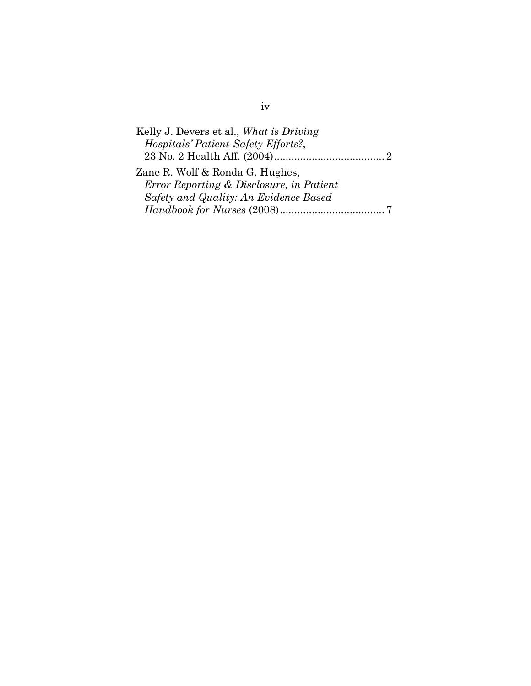| Kelly J. Devers et al., What is Driving  |  |
|------------------------------------------|--|
| Hospitals' Patient-Safety Efforts?,      |  |
|                                          |  |
| Zane R. Wolf & Ronda G. Hughes,          |  |
| Error Reporting & Disclosure, in Patient |  |
| Safety and Quality: An Evidence Based    |  |
|                                          |  |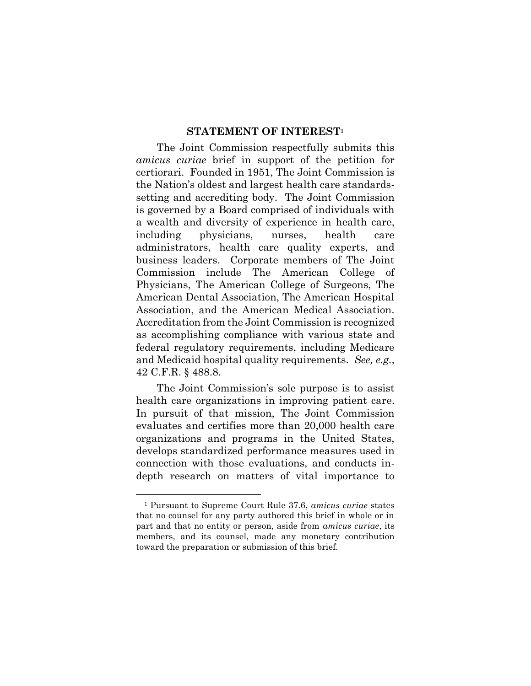#### **STATEMENT OF INTEREST<sup>1</sup>**

The Joint Commission respectfully submits this *amicus curiae* brief in support of the petition for certiorari. Founded in 1951, The Joint Commission is the Nation's oldest and largest health care standardssetting and accrediting body. The Joint Commission is governed by a Board comprised of individuals with a wealth and diversity of experience in health care, including physicians, nurses, health care administrators, health care quality experts, and business leaders. Corporate members of The Joint Commission include The American College of Physicians, The American College of Surgeons, The American Dental Association, The American Hospital Association, and the American Medical Association. Accreditation from the Joint Commission is recognized as accomplishing compliance with various state and federal regulatory requirements, including Medicare and Medicaid hospital quality requirements. *See, e.g.*, 42 C.F.R. § 488.8.

The Joint Commission's sole purpose is to assist health care organizations in improving patient care. In pursuit of that mission, The Joint Commission evaluates and certifies more than 20,000 health care organizations and programs in the United States, develops standardized performance measures used in connection with those evaluations, and conducts indepth research on matters of vital importance to

l

<sup>1</sup> Pursuant to Supreme Court Rule 37.6, *amicus curiae* states that no counsel for any party authored this brief in whole or in part and that no entity or person, aside from *amicus curiae*, its members, and its counsel, made any monetary contribution toward the preparation or submission of this brief.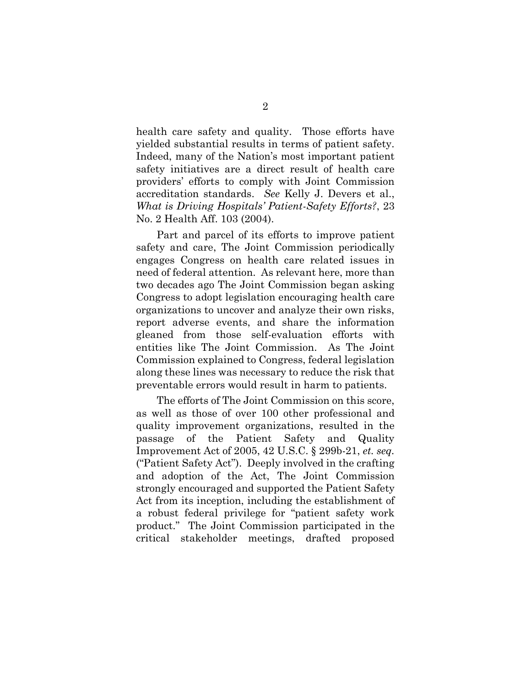health care safety and quality. Those efforts have yielded substantial results in terms of patient safety. Indeed, many of the Nation's most important patient safety initiatives are a direct result of health care providers' efforts to comply with Joint Commission accreditation standards. *See* Kelly J. Devers et al., *What is Driving Hospitals' Patient-Safety Efforts?*, 23 No. 2 Health Aff. 103 (2004).

Part and parcel of its efforts to improve patient safety and care, The Joint Commission periodically engages Congress on health care related issues in need of federal attention. As relevant here, more than two decades ago The Joint Commission began asking Congress to adopt legislation encouraging health care organizations to uncover and analyze their own risks, report adverse events, and share the information gleaned from those self-evaluation efforts with entities like The Joint Commission. As The Joint Commission explained to Congress, federal legislation along these lines was necessary to reduce the risk that preventable errors would result in harm to patients.

The efforts of The Joint Commission on this score, as well as those of over 100 other professional and quality improvement organizations, resulted in the passage of the Patient Safety and Quality Improvement Act of 2005, 42 U.S.C. § 299b-21, *et. seq.* ("Patient Safety Act"). Deeply involved in the crafting and adoption of the Act, The Joint Commission strongly encouraged and supported the Patient Safety Act from its inception, including the establishment of a robust federal privilege for "patient safety work product." The Joint Commission participated in the critical stakeholder meetings, drafted proposed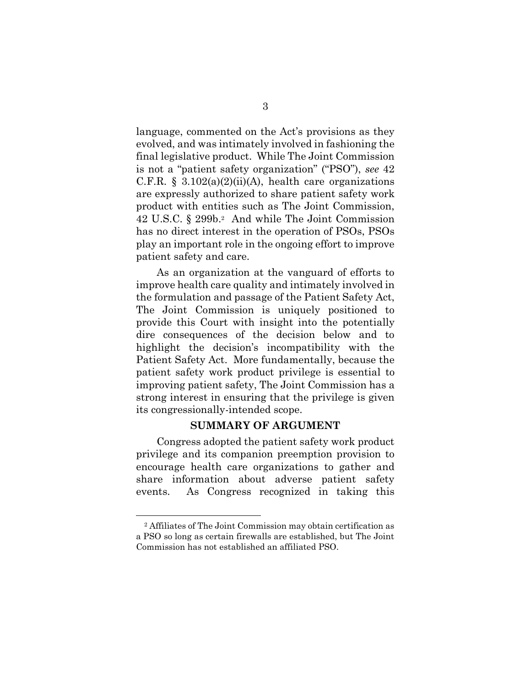language, commented on the Act's provisions as they evolved, and was intimately involved in fashioning the final legislative product. While The Joint Commission is not a "patient safety organization" ("PSO"), *see* 42 C.F.R. § 3.102(a)(2)(ii)(A), health care organizations are expressly authorized to share patient safety work product with entities such as The Joint Commission, 42 U.S.C. § 299b. <sup>2</sup> And while The Joint Commission has no direct interest in the operation of PSOs, PSOs play an important role in the ongoing effort to improve patient safety and care.

As an organization at the vanguard of efforts to improve health care quality and intimately involved in the formulation and passage of the Patient Safety Act, The Joint Commission is uniquely positioned to provide this Court with insight into the potentially dire consequences of the decision below and to highlight the decision's incompatibility with the Patient Safety Act. More fundamentally, because the patient safety work product privilege is essential to improving patient safety, The Joint Commission has a strong interest in ensuring that the privilege is given its congressionally-intended scope.

### **SUMMARY OF ARGUMENT**

Congress adopted the patient safety work product privilege and its companion preemption provision to encourage health care organizations to gather and share information about adverse patient safety events. As Congress recognized in taking this

<sup>2</sup> Affiliates of The Joint Commission may obtain certification as a PSO so long as certain firewalls are established, but The Joint Commission has not established an affiliated PSO.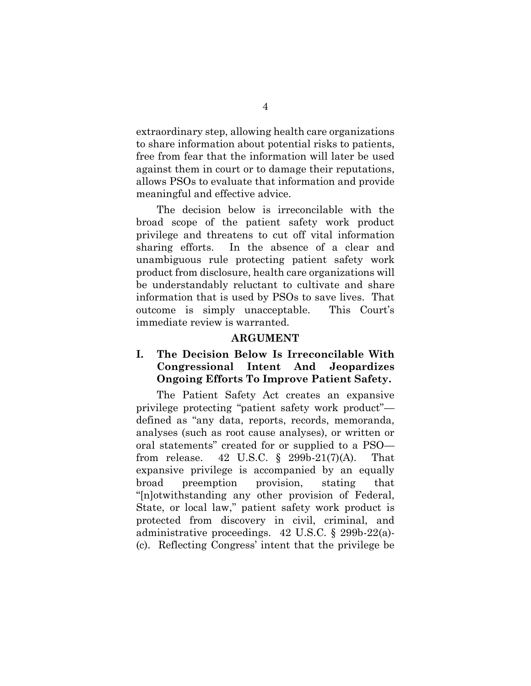extraordinary step, allowing health care organizations to share information about potential risks to patients, free from fear that the information will later be used against them in court or to damage their reputations, allows PSOs to evaluate that information and provide meaningful and effective advice.

The decision below is irreconcilable with the broad scope of the patient safety work product privilege and threatens to cut off vital information sharing efforts. In the absence of a clear and unambiguous rule protecting patient safety work product from disclosure, health care organizations will be understandably reluctant to cultivate and share information that is used by PSOs to save lives. That outcome is simply unacceptable. This Court's immediate review is warranted.

### **ARGUMENT**

### **I. The Decision Below Is Irreconcilable With Congressional Intent And Jeopardizes Ongoing Efforts To Improve Patient Safety.**

The Patient Safety Act creates an expansive privilege protecting "patient safety work product" defined as "any data, reports, records, memoranda, analyses (such as root cause analyses), or written or oral statements" created for or supplied to a PSO from release. 42 U.S.C.  $\S$  299b-21(7)(A). That expansive privilege is accompanied by an equally broad preemption provision, stating that "[n]otwithstanding any other provision of Federal, State, or local law," patient safety work product is protected from discovery in civil, criminal, and administrative proceedings. 42 U.S.C. § 299b-22(a)- (c). Reflecting Congress' intent that the privilege be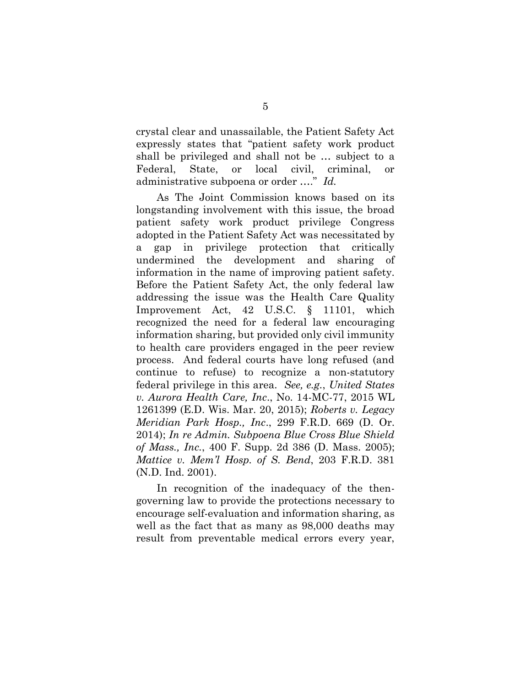crystal clear and unassailable, the Patient Safety Act expressly states that "patient safety work product shall be privileged and shall not be … subject to a Federal, State, or local civil, criminal, or administrative subpoena or order …." *Id.*

As The Joint Commission knows based on its longstanding involvement with this issue, the broad patient safety work product privilege Congress adopted in the Patient Safety Act was necessitated by a gap in privilege protection that critically undermined the development and sharing of information in the name of improving patient safety. Before the Patient Safety Act, the only federal law addressing the issue was the Health Care Quality Improvement Act, 42 U.S.C. § 11101, which recognized the need for a federal law encouraging information sharing, but provided only civil immunity to health care providers engaged in the peer review process. And federal courts have long refused (and continue to refuse) to recognize a non-statutory federal privilege in this area. *See, e.g.*, *United States v. Aurora Health Care, Inc*., No. 14-MC-77, 2015 WL 1261399 (E.D. Wis. Mar. 20, 2015); *Roberts v. Legacy Meridian Park Hosp., Inc*., 299 F.R.D. 669 (D. Or. 2014); *In re Admin. Subpoena Blue Cross Blue Shield of Mass., Inc.*, 400 F. Supp. 2d 386 (D. Mass. 2005); *Mattice v. Mem'l Hosp. of S. Bend*, 203 F.R.D. 381 (N.D. Ind. 2001).

In recognition of the inadequacy of the thengoverning law to provide the protections necessary to encourage self-evaluation and information sharing, as well as the fact that as many as 98,000 deaths may result from preventable medical errors every year,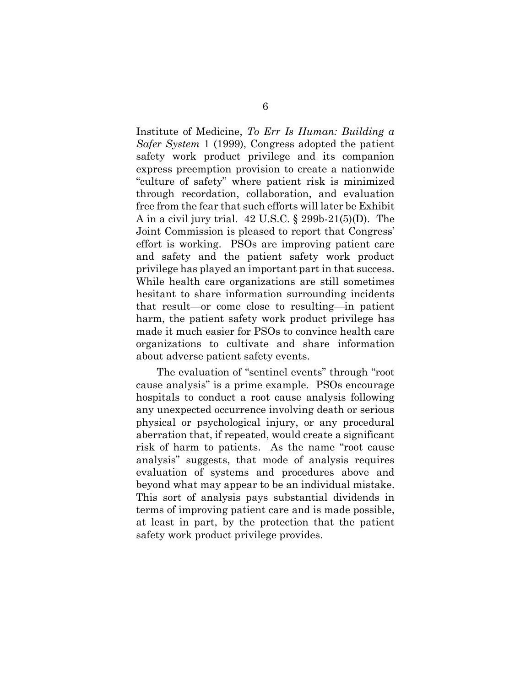Institute of Medicine, *To Err Is Human: Building a Safer System* 1 (1999), Congress adopted the patient safety work product privilege and its companion express preemption provision to create a nationwide "culture of safety" where patient risk is minimized through recordation, collaboration, and evaluation free from the fear that such efforts will later be Exhibit A in a civil jury trial. 42 U.S.C. § 299b-21(5)(D). The Joint Commission is pleased to report that Congress' effort is working. PSOs are improving patient care and safety and the patient safety work product privilege has played an important part in that success. While health care organizations are still sometimes hesitant to share information surrounding incidents that result—or come close to resulting—in patient harm, the patient safety work product privilege has made it much easier for PSOs to convince health care organizations to cultivate and share information about adverse patient safety events.

The evaluation of "sentinel events" through "root cause analysis" is a prime example. PSOs encourage hospitals to conduct a root cause analysis following any unexpected occurrence involving death or serious physical or psychological injury, or any procedural aberration that, if repeated, would create a significant risk of harm to patients. As the name "root cause analysis" suggests, that mode of analysis requires evaluation of systems and procedures above and beyond what may appear to be an individual mistake. This sort of analysis pays substantial dividends in terms of improving patient care and is made possible, at least in part, by the protection that the patient safety work product privilege provides.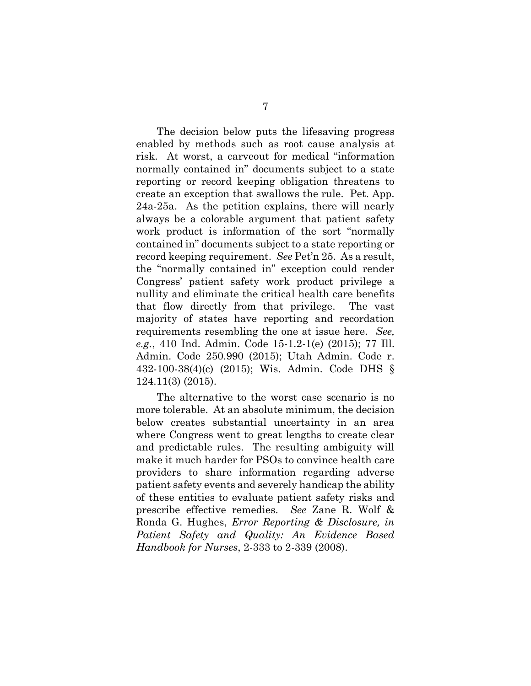The decision below puts the lifesaving progress enabled by methods such as root cause analysis at risk. At worst, a carveout for medical "information normally contained in" documents subject to a state reporting or record keeping obligation threatens to create an exception that swallows the rule. Pet. App. 24a-25a. As the petition explains, there will nearly always be a colorable argument that patient safety work product is information of the sort "normally contained in" documents subject to a state reporting or record keeping requirement. *See* Pet'n 25. As a result, the "normally contained in" exception could render Congress' patient safety work product privilege a nullity and eliminate the critical health care benefits that flow directly from that privilege. The vast majority of states have reporting and recordation requirements resembling the one at issue here. *See, e.g.*, 410 Ind. Admin. Code 15-1.2-1(e) (2015); 77 Ill. Admin. Code 250.990 (2015); Utah Admin. Code r. 432-100-38(4)(c) (2015); Wis. Admin. Code DHS § 124.11(3) (2015).

The alternative to the worst case scenario is no more tolerable. At an absolute minimum, the decision below creates substantial uncertainty in an area where Congress went to great lengths to create clear and predictable rules. The resulting ambiguity will make it much harder for PSOs to convince health care providers to share information regarding adverse patient safety events and severely handicap the ability of these entities to evaluate patient safety risks and prescribe effective remedies. *See* Zane R. Wolf & Ronda G. Hughes, *Error Reporting & Disclosure, in Patient Safety and Quality: An Evidence Based Handbook for Nurses*, 2-333 to 2-339 (2008).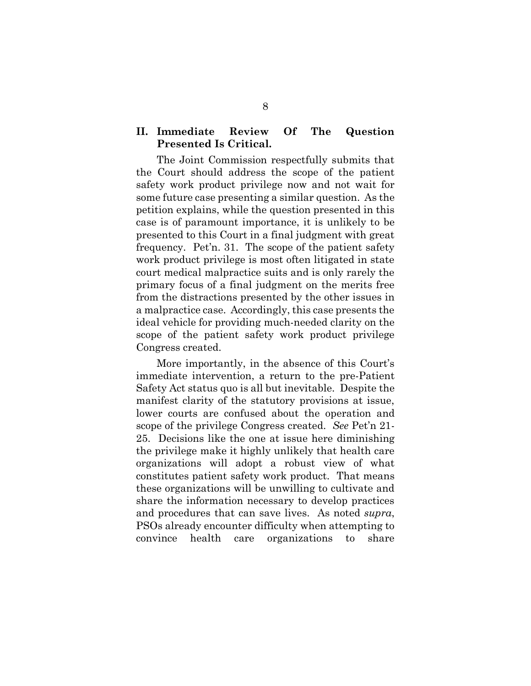### **II. Immediate Review Of The Question Presented Is Critical.**

The Joint Commission respectfully submits that the Court should address the scope of the patient safety work product privilege now and not wait for some future case presenting a similar question. As the petition explains, while the question presented in this case is of paramount importance, it is unlikely to be presented to this Court in a final judgment with great frequency. Pet'n. 31. The scope of the patient safety work product privilege is most often litigated in state court medical malpractice suits and is only rarely the primary focus of a final judgment on the merits free from the distractions presented by the other issues in a malpractice case. Accordingly, this case presents the ideal vehicle for providing much-needed clarity on the scope of the patient safety work product privilege Congress created.

More importantly, in the absence of this Court's immediate intervention, a return to the pre-Patient Safety Act status quo is all but inevitable. Despite the manifest clarity of the statutory provisions at issue, lower courts are confused about the operation and scope of the privilege Congress created. *See* Pet'n 21- 25. Decisions like the one at issue here diminishing the privilege make it highly unlikely that health care organizations will adopt a robust view of what constitutes patient safety work product. That means these organizations will be unwilling to cultivate and share the information necessary to develop practices and procedures that can save lives. As noted *supra*, PSOs already encounter difficulty when attempting to convince health care organizations to share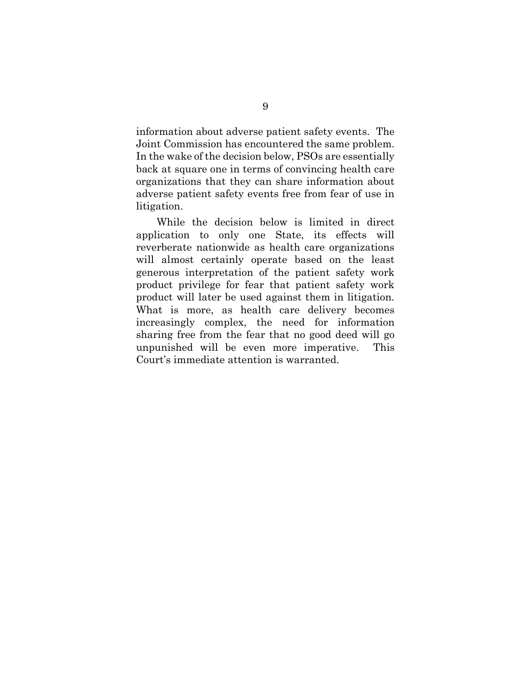information about adverse patient safety events. The Joint Commission has encountered the same problem. In the wake of the decision below, PSOs are essentially back at square one in terms of convincing health care organizations that they can share information about adverse patient safety events free from fear of use in litigation.

While the decision below is limited in direct application to only one State, its effects will reverberate nationwide as health care organizations will almost certainly operate based on the least generous interpretation of the patient safety work product privilege for fear that patient safety work product will later be used against them in litigation. What is more, as health care delivery becomes increasingly complex, the need for information sharing free from the fear that no good deed will go unpunished will be even more imperative. This Court's immediate attention is warranted.